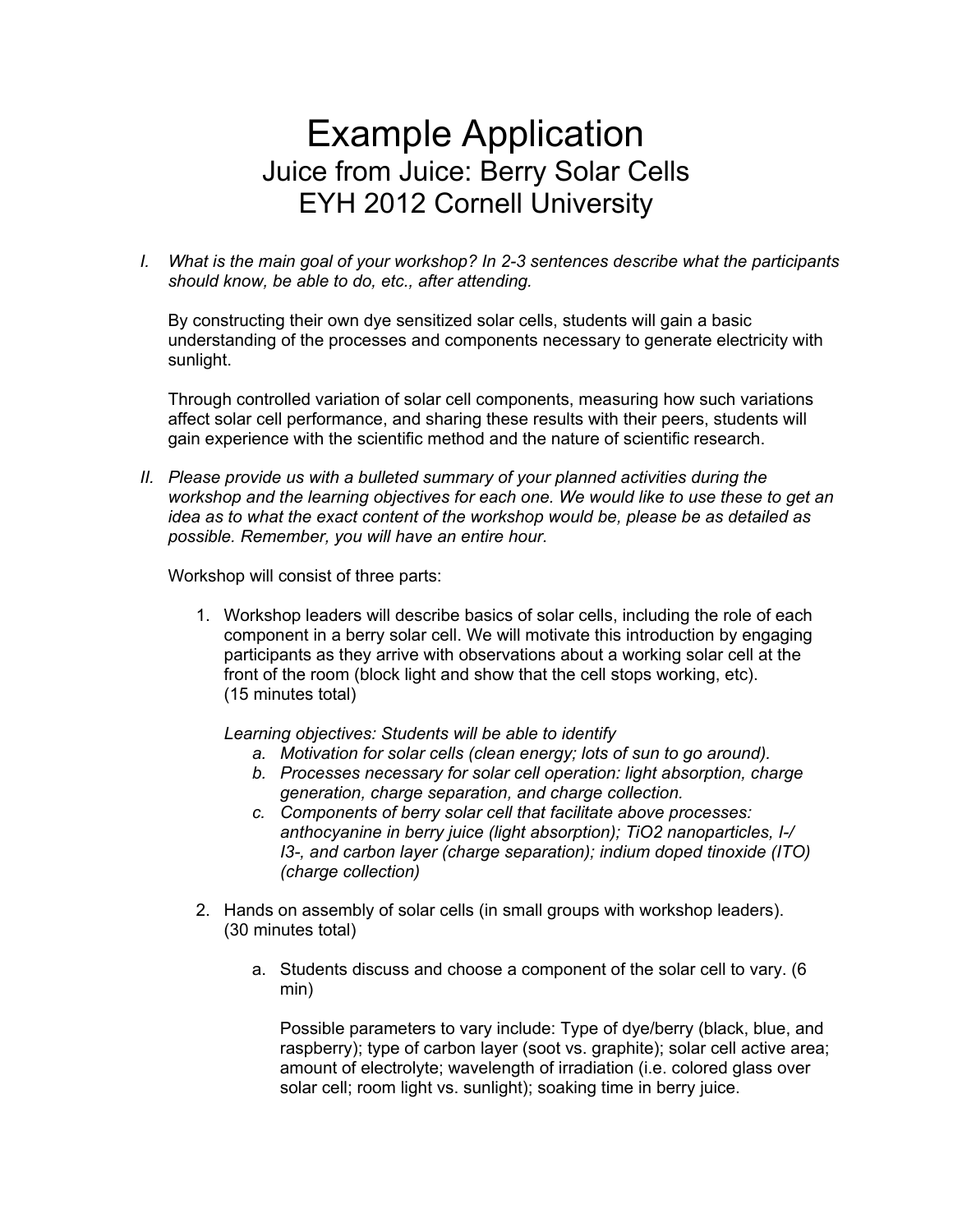## Example Application Juice from Juice: Berry Solar Cells EYH 2012 Cornell University

*I. What is the main goal of your workshop? In 2-3 sentences describe what the participants should know, be able to do, etc., after attending.*

By constructing their own dye sensitized solar cells, students will gain a basic understanding of the processes and components necessary to generate electricity with sunlight.

Through controlled variation of solar cell components, measuring how such variations affect solar cell performance, and sharing these results with their peers, students will gain experience with the scientific method and the nature of scientific research.

*II. Please provide us with a bulleted summary of your planned activities during the workshop and the learning objectives for each one. We would like to use these to get an idea as to what the exact content of the workshop would be, please be as detailed as possible. Remember, you will have an entire hour.*

Workshop will consist of three parts:

1. Workshop leaders will describe basics of solar cells, including the role of each component in a berry solar cell. We will motivate this introduction by engaging participants as they arrive with observations about a working solar cell at the front of the room (block light and show that the cell stops working, etc). (15 minutes total)

*Learning objectives: Students will be able to identify*

- *a. Motivation for solar cells (clean energy; lots of sun to go around).*
- *b. Processes necessary for solar cell operation: light absorption, charge generation, charge separation, and charge collection.*
- *c. Components of berry solar cell that facilitate above processes: anthocyanine in berry juice (light absorption); TiO2 nanoparticles, I-/ I3-, and carbon layer (charge separation); indium doped tinoxide (ITO) (charge collection)*
- 2. Hands on assembly of solar cells (in small groups with workshop leaders). (30 minutes total)
	- a. Students discuss and choose a component of the solar cell to vary. (6 min)

Possible parameters to vary include: Type of dye/berry (black, blue, and raspberry); type of carbon layer (soot vs. graphite); solar cell active area; amount of electrolyte; wavelength of irradiation (i.e. colored glass over solar cell; room light vs. sunlight); soaking time in berry juice.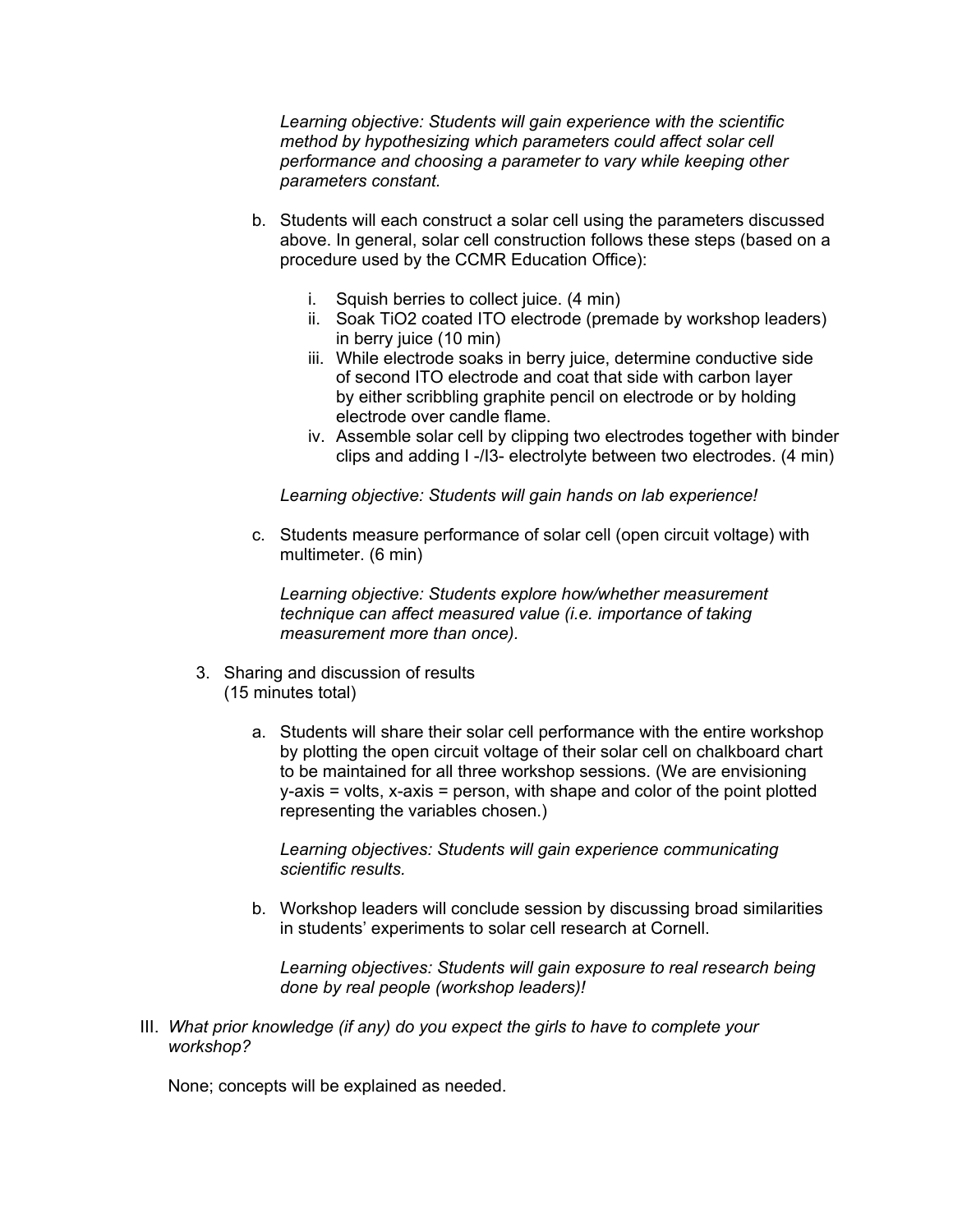*Learning objective: Students will gain experience with the scientific method by hypothesizing which parameters could affect solar cell performance and choosing a parameter to vary while keeping other parameters constant.*

- b. Students will each construct a solar cell using the parameters discussed above. In general, solar cell construction follows these steps (based on a procedure used by the CCMR Education Office):
	- i. Squish berries to collect juice. (4 min)
	- ii. Soak TiO2 coated ITO electrode (premade by workshop leaders) in berry juice (10 min)
	- iii. While electrode soaks in berry juice, determine conductive side of second ITO electrode and coat that side with carbon layer by either scribbling graphite pencil on electrode or by holding electrode over candle flame.
	- iv. Assemble solar cell by clipping two electrodes together with binder clips and adding I -/I3- electrolyte between two electrodes. (4 min)

*Learning objective: Students will gain hands on lab experience!*

c. Students measure performance of solar cell (open circuit voltage) with multimeter. (6 min)

*Learning objective: Students explore how/whether measurement technique can affect measured value (i.e. importance of taking measurement more than once).*

- 3. Sharing and discussion of results (15 minutes total)
	- a. Students will share their solar cell performance with the entire workshop by plotting the open circuit voltage of their solar cell on chalkboard chart to be maintained for all three workshop sessions. (We are envisioning  $y$ -axis = volts,  $x$ -axis = person, with shape and color of the point plotted representing the variables chosen.)

*Learning objectives: Students will gain experience communicating scientific results.*

b. Workshop leaders will conclude session by discussing broad similarities in students' experiments to solar cell research at Cornell.

*Learning objectives: Students will gain exposure to real research being done by real people (workshop leaders)!*

III. *What prior knowledge (if any) do you expect the girls to have to complete your workshop?*

None; concepts will be explained as needed.